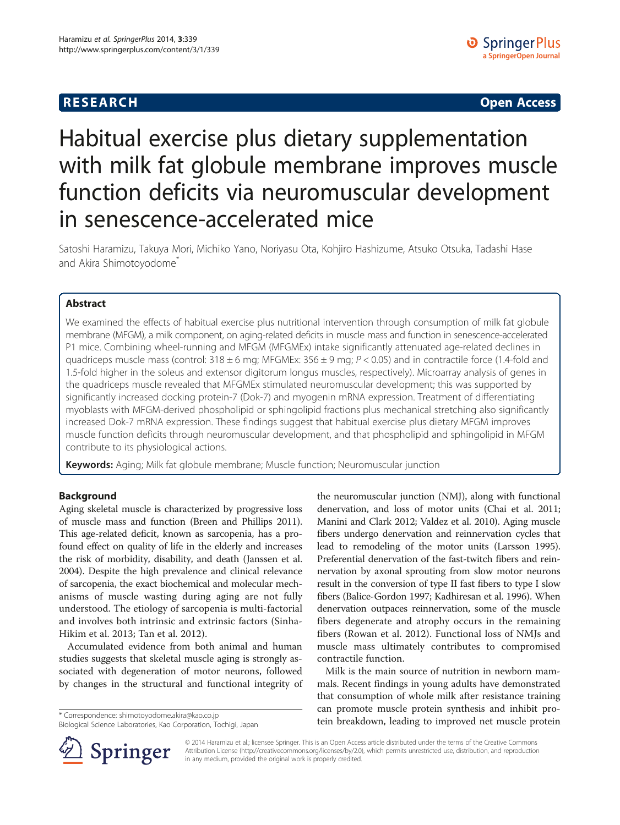## **RESEARCH CHE Open Access**

# Habitual exercise plus dietary supplementation with milk fat globule membrane improves muscle function deficits via neuromuscular development in senescence-accelerated mice

Satoshi Haramizu, Takuya Mori, Michiko Yano, Noriyasu Ota, Kohjiro Hashizume, Atsuko Otsuka, Tadashi Hase and Akira Shimotoyodome<sup>7</sup>

## Abstract

We examined the effects of habitual exercise plus nutritional intervention through consumption of milk fat globule membrane (MFGM), a milk component, on aging-related deficits in muscle mass and function in senescence-accelerated P1 mice. Combining wheel-running and MFGM (MFGMEx) intake significantly attenuated age-related declines in quadriceps muscle mass (control: 318  $\pm$  6 mg; MFGMEx: 356  $\pm$  9 mg; P < 0.05) and in contractile force (1.4-fold and 1.5-fold higher in the soleus and extensor digitorum longus muscles, respectively). Microarray analysis of genes in the quadriceps muscle revealed that MFGMEx stimulated neuromuscular development; this was supported by significantly increased docking protein-7 (Dok-7) and myogenin mRNA expression. Treatment of differentiating myoblasts with MFGM-derived phospholipid or sphingolipid fractions plus mechanical stretching also significantly increased Dok-7 mRNA expression. These findings suggest that habitual exercise plus dietary MFGM improves muscle function deficits through neuromuscular development, and that phospholipid and sphingolipid in MFGM contribute to its physiological actions.

Keywords: Aging; Milk fat globule membrane; Muscle function; Neuromuscular junction

#### Background

Aging skeletal muscle is characterized by progressive loss of muscle mass and function (Breen and Phillips [2011](#page-14-0)). This age-related deficit, known as sarcopenia, has a profound effect on quality of life in the elderly and increases the risk of morbidity, disability, and death (Janssen et al. [2004\)](#page-15-0). Despite the high prevalence and clinical relevance of sarcopenia, the exact biochemical and molecular mechanisms of muscle wasting during aging are not fully understood. The etiology of sarcopenia is multi-factorial and involves both intrinsic and extrinsic factors (Sinha-Hikim et al. [2013;](#page-15-0) Tan et al. [2012\)](#page-16-0).

Accumulated evidence from both animal and human studies suggests that skeletal muscle aging is strongly associated with degeneration of motor neurons, followed by changes in the structural and functional integrity of

the neuromuscular junction (NMJ), along with functional denervation, and loss of motor units (Chai et al. [2011](#page-14-0); Manini and Clark [2012;](#page-15-0) Valdez et al. [2010](#page-16-0)). Aging muscle fibers undergo denervation and reinnervation cycles that lead to remodeling of the motor units (Larsson [1995](#page-15-0)). Preferential denervation of the fast-twitch fibers and reinnervation by axonal sprouting from slow motor neurons result in the conversion of type II fast fibers to type I slow fibers (Balice-Gordon [1997;](#page-14-0) Kadhiresan et al. [1996\)](#page-15-0). When denervation outpaces reinnervation, some of the muscle fibers degenerate and atrophy occurs in the remaining fibers (Rowan et al. [2012](#page-15-0)). Functional loss of NMJs and muscle mass ultimately contributes to compromised contractile function.

Milk is the main source of nutrition in newborn mammals. Recent findings in young adults have demonstrated that consumption of whole milk after resistance training can promote muscle protein synthesis and inhibit pro\*Correspondence: [shimotoyodome.akira@kao.co.jp](mailto:shimotoyodome.akira@kao.co.jp)<br>Riological Science Laboratories Kao Corporation Tochigi Japan **http://www.francescorporation to the correspondence**<br>**Etin breakdown, leading to improved net muscle protein** 



© 2014 Haramizu et al.; licensee Springer. This is an Open Access article distributed under the terms of the Creative Commons Attribution License [\(http://creativecommons.org/licenses/by/2.0\)](http://creativecommons.org/licenses/by/2.0), which permits unrestricted use, distribution, and reproduction in any medium, provided the original work is properly credited.

Biological Science Laboratories, Kao Corporation, Tochigi, Japan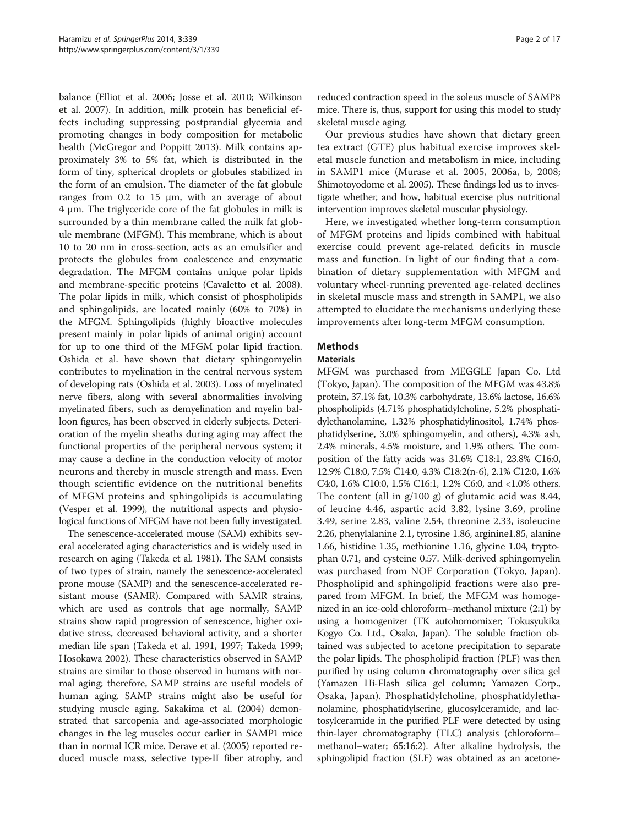balance (Elliot et al. [2006;](#page-14-0) Josse et al. [2010;](#page-15-0) Wilkinson et al. [2007](#page-16-0)). In addition, milk protein has beneficial effects including suppressing postprandial glycemia and promoting changes in body composition for metabolic health (McGregor and Poppitt [2013](#page-15-0)). Milk contains approximately 3% to 5% fat, which is distributed in the form of tiny, spherical droplets or globules stabilized in the form of an emulsion. The diameter of the fat globule ranges from  $0.2$  to  $15 \mu m$ , with an average of about 4 μm. The triglyceride core of the fat globules in milk is surrounded by a thin membrane called the milk fat globule membrane (MFGM). This membrane, which is about 10 to 20 nm in cross-section, acts as an emulsifier and protects the globules from coalescence and enzymatic degradation. The MFGM contains unique polar lipids and membrane-specific proteins (Cavaletto et al. [2008](#page-14-0)). The polar lipids in milk, which consist of phospholipids and sphingolipids, are located mainly (60% to 70%) in the MFGM. Sphingolipids (highly bioactive molecules present mainly in polar lipids of animal origin) account for up to one third of the MFGM polar lipid fraction. Oshida et al. have shown that dietary sphingomyelin contributes to myelination in the central nervous system of developing rats (Oshida et al. [2003](#page-15-0)). Loss of myelinated nerve fibers, along with several abnormalities involving myelinated fibers, such as demyelination and myelin balloon figures, has been observed in elderly subjects. Deterioration of the myelin sheaths during aging may affect the functional properties of the peripheral nervous system; it may cause a decline in the conduction velocity of motor neurons and thereby in muscle strength and mass. Even though scientific evidence on the nutritional benefits of MFGM proteins and sphingolipids is accumulating (Vesper et al. [1999](#page-16-0)), the nutritional aspects and physiological functions of MFGM have not been fully investigated.

The senescence-accelerated mouse (SAM) exhibits several accelerated aging characteristics and is widely used in research on aging (Takeda et al. [1981\)](#page-16-0). The SAM consists of two types of strain, namely the senescence-accelerated prone mouse (SAMP) and the senescence-accelerated resistant mouse (SAMR). Compared with SAMR strains, which are used as controls that age normally, SAMP strains show rapid progression of senescence, higher oxidative stress, decreased behavioral activity, and a shorter median life span (Takeda et al. [1991](#page-16-0), [1997](#page-16-0); Takeda [1999](#page-15-0); Hosokawa [2002](#page-15-0)). These characteristics observed in SAMP strains are similar to those observed in humans with normal aging; therefore, SAMP strains are useful models of human aging. SAMP strains might also be useful for studying muscle aging. Sakakima et al. [\(2004\)](#page-15-0) demonstrated that sarcopenia and age-associated morphologic changes in the leg muscles occur earlier in SAMP1 mice than in normal ICR mice. Derave et al. [\(2005](#page-14-0)) reported reduced muscle mass, selective type-II fiber atrophy, and

reduced contraction speed in the soleus muscle of SAMP8 mice. There is, thus, support for using this model to study skeletal muscle aging.

Our previous studies have shown that dietary green tea extract (GTE) plus habitual exercise improves skeletal muscle function and metabolism in mice, including in SAMP1 mice (Murase et al. [2005](#page-15-0), [2006a](#page-15-0), [b](#page-15-0), [2008](#page-15-0); Shimotoyodome et al. [2005\)](#page-15-0). These findings led us to investigate whether, and how, habitual exercise plus nutritional intervention improves skeletal muscular physiology.

Here, we investigated whether long-term consumption of MFGM proteins and lipids combined with habitual exercise could prevent age-related deficits in muscle mass and function. In light of our finding that a combination of dietary supplementation with MFGM and voluntary wheel-running prevented age-related declines in skeletal muscle mass and strength in SAMP1, we also attempted to elucidate the mechanisms underlying these improvements after long-term MFGM consumption.

## Methods

#### **Materials**

MFGM was purchased from MEGGLE Japan Co. Ltd (Tokyo, Japan). The composition of the MFGM was 43.8% protein, 37.1% fat, 10.3% carbohydrate, 13.6% lactose, 16.6% phospholipids (4.71% phosphatidylcholine, 5.2% phosphatidylethanolamine, 1.32% phosphatidylinositol, 1.74% phosphatidylserine, 3.0% sphingomyelin, and others), 4.3% ash, 2.4% minerals, 4.5% moisture, and 1.9% others. The composition of the fatty acids was 31.6% C18:1, 23.8% C16:0, 12.9% C18:0, 7.5% C14:0, 4.3% C18:2(n-6), 2.1% C12:0, 1.6% C4:0, 1.6% C10:0, 1.5% C16:1, 1.2% C6:0, and <1.0% others. The content (all in g/100 g) of glutamic acid was 8.44, of leucine 4.46, aspartic acid 3.82, lysine 3.69, proline 3.49, serine 2.83, valine 2.54, threonine 2.33, isoleucine 2.26, phenylalanine 2.1, tyrosine 1.86, arginine1.85, alanine 1.66, histidine 1.35, methionine 1.16, glycine 1.04, tryptophan 0.71, and cysteine 0.57. Milk-derived sphingomyelin was purchased from NOF Corporation (Tokyo, Japan). Phospholipid and sphingolipid fractions were also prepared from MFGM. In brief, the MFGM was homogenized in an ice-cold chloroform–methanol mixture (2:1) by using a homogenizer (TK autohomomixer; Tokusyukika Kogyo Co. Ltd., Osaka, Japan). The soluble fraction obtained was subjected to acetone precipitation to separate the polar lipids. The phospholipid fraction (PLF) was then purified by using column chromatography over silica gel (Yamazen Hi-Flash silica gel column; Yamazen Corp., Osaka, Japan). Phosphatidylcholine, phosphatidylethanolamine, phosphatidylserine, glucosylceramide, and lactosylceramide in the purified PLF were detected by using thin-layer chromatography (TLC) analysis (chloroform– methanol–water; 65:16:2). After alkaline hydrolysis, the sphingolipid fraction (SLF) was obtained as an acetone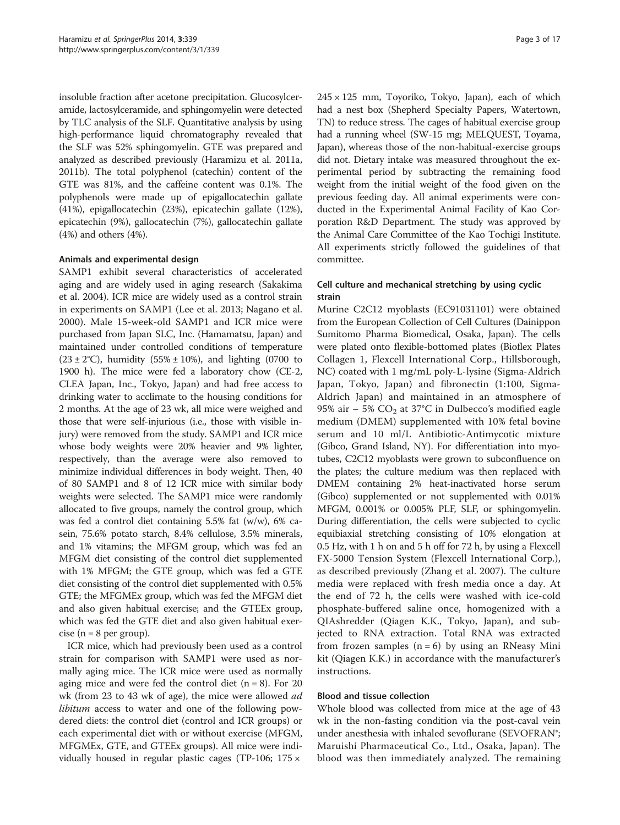insoluble fraction after acetone precipitation. Glucosylceramide, lactosylceramide, and sphingomyelin were detected by TLC analysis of the SLF. Quantitative analysis by using high-performance liquid chromatography revealed that the SLF was 52% sphingomyelin. GTE was prepared and analyzed as described previously (Haramizu et al. [2011a](#page-15-0), [2011b](#page-15-0)). The total polyphenol (catechin) content of the GTE was 81%, and the caffeine content was 0.1%. The polyphenols were made up of epigallocatechin gallate (41%), epigallocatechin (23%), epicatechin gallate (12%), epicatechin (9%), gallocatechin (7%), gallocatechin gallate (4%) and others (4%).

#### Animals and experimental design

SAMP1 exhibit several characteristics of accelerated aging and are widely used in aging research (Sakakima et al. [2004](#page-15-0)). ICR mice are widely used as a control strain in experiments on SAMP1 (Lee et al. [2013](#page-15-0); Nagano et al. [2000\)](#page-15-0). Male 15-week-old SAMP1 and ICR mice were purchased from Japan SLC, Inc. (Hamamatsu, Japan) and maintained under controlled conditions of temperature  $(23 \pm 2^{\circ}C)$ , humidity  $(55\% \pm 10\%)$ , and lighting  $(0700 \text{ to } 10^{\circ}C)$ 1900 h). The mice were fed a laboratory chow (CE-2, CLEA Japan, Inc., Tokyo, Japan) and had free access to drinking water to acclimate to the housing conditions for 2 months. At the age of 23 wk, all mice were weighed and those that were self-injurious (i.e., those with visible injury) were removed from the study. SAMP1 and ICR mice whose body weights were 20% heavier and 9% lighter, respectively, than the average were also removed to minimize individual differences in body weight. Then, 40 of 80 SAMP1 and 8 of 12 ICR mice with similar body weights were selected. The SAMP1 mice were randomly allocated to five groups, namely the control group, which was fed a control diet containing 5.5% fat (w/w), 6% casein, 75.6% potato starch, 8.4% cellulose, 3.5% minerals, and 1% vitamins; the MFGM group, which was fed an MFGM diet consisting of the control diet supplemented with 1% MFGM; the GTE group, which was fed a GTE diet consisting of the control diet supplemented with 0.5% GTE; the MFGMEx group, which was fed the MFGM diet and also given habitual exercise; and the GTEEx group, which was fed the GTE diet and also given habitual exercise ( $n = 8$  per group).

ICR mice, which had previously been used as a control strain for comparison with SAMP1 were used as normally aging mice. The ICR mice were used as normally aging mice and were fed the control diet  $(n = 8)$ . For 20 wk (from 23 to 43 wk of age), the mice were allowed ad libitum access to water and one of the following powdered diets: the control diet (control and ICR groups) or each experimental diet with or without exercise (MFGM, MFGMEx, GTE, and GTEEx groups). All mice were individually housed in regular plastic cages (TP-106; 175 ×

 $245 \times 125$  mm, Toyoriko, Tokyo, Japan), each of which had a nest box (Shepherd Specialty Papers, Watertown, TN) to reduce stress. The cages of habitual exercise group had a running wheel (SW-15 mg; MELQUEST, Toyama, Japan), whereas those of the non-habitual-exercise groups did not. Dietary intake was measured throughout the experimental period by subtracting the remaining food weight from the initial weight of the food given on the previous feeding day. All animal experiments were conducted in the Experimental Animal Facility of Kao Corporation R&D Department. The study was approved by the Animal Care Committee of the Kao Tochigi Institute. All experiments strictly followed the guidelines of that committee.

## Cell culture and mechanical stretching by using cyclic strain

Murine C2C12 myoblasts (EC91031101) were obtained from the European Collection of Cell Cultures (Dainippon Sumitomo Pharma Biomedical, Osaka, Japan). The cells were plated onto flexible-bottomed plates (Bioflex Plates Collagen 1, Flexcell International Corp., Hillsborough, NC) coated with 1 mg/mL poly-L-lysine (Sigma-Aldrich Japan, Tokyo, Japan) and fibronectin (1:100, Sigma-Aldrich Japan) and maintained in an atmosphere of 95% air – 5%  $CO<sub>2</sub>$  at 37°C in Dulbecco's modified eagle medium (DMEM) supplemented with 10% fetal bovine serum and 10 ml/L Antibiotic-Antimycotic mixture (Gibco, Grand Island, NY). For differentiation into myotubes, C2C12 myoblasts were grown to subconfluence on the plates; the culture medium was then replaced with DMEM containing 2% heat-inactivated horse serum (Gibco) supplemented or not supplemented with 0.01% MFGM, 0.001% or 0.005% PLF, SLF, or sphingomyelin. During differentiation, the cells were subjected to cyclic equibiaxial stretching consisting of 10% elongation at 0.5 Hz, with 1 h on and 5 h off for 72 h, by using a Flexcell FX-5000 Tension System (Flexcell International Corp.), as described previously (Zhang et al. [2007\)](#page-16-0). The culture media were replaced with fresh media once a day. At the end of 72 h, the cells were washed with ice-cold phosphate-buffered saline once, homogenized with a QIAshredder (Qiagen K.K., Tokyo, Japan), and subjected to RNA extraction. Total RNA was extracted from frozen samples  $(n = 6)$  by using an RNeasy Mini kit (Qiagen K.K.) in accordance with the manufacturer's instructions.

#### Blood and tissue collection

Whole blood was collected from mice at the age of 43 wk in the non-fasting condition via the post-caval vein under anesthesia with inhaled sevoflurane (SEVOFRAN®; Maruishi Pharmaceutical Co., Ltd., Osaka, Japan). The blood was then immediately analyzed. The remaining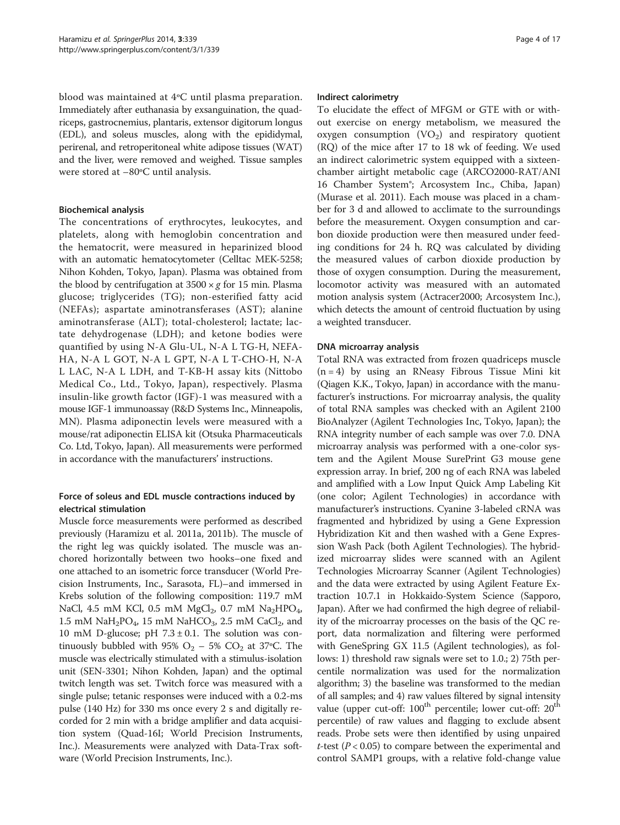blood was maintained at 4ºC until plasma preparation. Immediately after euthanasia by exsanguination, the quadriceps, gastrocnemius, plantaris, extensor digitorum longus (EDL), and soleus muscles, along with the epididymal, perirenal, and retroperitoneal white adipose tissues (WAT) and the liver, were removed and weighed. Tissue samples were stored at –80ºC until analysis.

#### Biochemical analysis

The concentrations of erythrocytes, leukocytes, and platelets, along with hemoglobin concentration and the hematocrit, were measured in heparinized blood with an automatic hematocytometer (Celltac MEK-5258; Nihon Kohden, Tokyo, Japan). Plasma was obtained from the blood by centrifugation at  $3500 \times g$  for 15 min. Plasma glucose; triglycerides (TG); non-esterified fatty acid (NEFAs); aspartate aminotransferases (AST); alanine aminotransferase (ALT); total-cholesterol; lactate; lactate dehydrogenase (LDH); and ketone bodies were quantified by using N-A Glu-UL, N-A L TG-H, NEFA-HA, N-A L GOT, N-A L GPT, N-A L T-CHO-H, N-A L LAC, N-A L LDH, and T-KB-H assay kits (Nittobo Medical Co., Ltd., Tokyo, Japan), respectively. Plasma insulin-like growth factor (IGF)-1 was measured with a mouse IGF-1 immunoassay (R&D Systems Inc., Minneapolis, MN). Plasma adiponectin levels were measured with a mouse/rat adiponectin ELISA kit (Otsuka Pharmaceuticals Co. Ltd, Tokyo, Japan). All measurements were performed in accordance with the manufacturers' instructions.

## Force of soleus and EDL muscle contractions induced by electrical stimulation

Muscle force measurements were performed as described previously (Haramizu et al. [2011a](#page-15-0), [2011b](#page-15-0)). The muscle of the right leg was quickly isolated. The muscle was anchored horizontally between two hooks–one fixed and one attached to an isometric force transducer (World Precision Instruments, Inc., Sarasota, FL)–and immersed in Krebs solution of the following composition: 119.7 mM NaCl, 4.5 mM KCl, 0.5 mM  $MgCl<sub>2</sub>$ , 0.7 mM  $Na<sub>2</sub>HPO<sub>4</sub>$ , 1.5 mM NaH<sub>2</sub>PO<sub>4</sub>, 15 mM NaHCO<sub>3</sub>, 2.5 mM CaCl<sub>2</sub>, and 10 mM D-glucose; pH  $7.3 \pm 0.1$ . The solution was continuously bubbled with 95%  $O_2$  – 5%  $CO_2$  at 37°C. The muscle was electrically stimulated with a stimulus-isolation unit (SEN-3301; Nihon Kohden, Japan) and the optimal twitch length was set. Twitch force was measured with a single pulse; tetanic responses were induced with a 0.2-ms pulse (140 Hz) for 330 ms once every 2 s and digitally recorded for 2 min with a bridge amplifier and data acquisition system (Quad-16I; World Precision Instruments, Inc.). Measurements were analyzed with Data-Trax software (World Precision Instruments, Inc.).

#### Indirect calorimetry

To elucidate the effect of MFGM or GTE with or without exercise on energy metabolism, we measured the oxygen consumption  $(VO<sub>2</sub>)$  and respiratory quotient (RQ) of the mice after 17 to 18 wk of feeding. We used an indirect calorimetric system equipped with a sixteenchamber airtight metabolic cage (ARCO2000-RAT/ANI 16 Chamber System®; Arcosystem Inc., Chiba, Japan) (Murase et al. [2011\)](#page-15-0). Each mouse was placed in a chamber for 3 d and allowed to acclimate to the surroundings before the measurement. Oxygen consumption and carbon dioxide production were then measured under feeding conditions for 24 h. RQ was calculated by dividing the measured values of carbon dioxide production by those of oxygen consumption. During the measurement, locomotor activity was measured with an automated motion analysis system (Actracer2000; Arcosystem Inc.), which detects the amount of centroid fluctuation by using a weighted transducer.

#### DNA microarray analysis

Total RNA was extracted from frozen quadriceps muscle  $(n = 4)$  by using an RNeasy Fibrous Tissue Mini kit (Qiagen K.K., Tokyo, Japan) in accordance with the manufacturer's instructions. For microarray analysis, the quality of total RNA samples was checked with an Agilent 2100 BioAnalyzer (Agilent Technologies Inc, Tokyo, Japan); the RNA integrity number of each sample was over 7.0. DNA microarray analysis was performed with a one-color system and the Agilent Mouse SurePrint G3 mouse gene expression array. In brief, 200 ng of each RNA was labeled and amplified with a Low Input Quick Amp Labeling Kit (one color; Agilent Technologies) in accordance with manufacturer's instructions. Cyanine 3-labeled cRNA was fragmented and hybridized by using a Gene Expression Hybridization Kit and then washed with a Gene Expression Wash Pack (both Agilent Technologies). The hybridized microarray slides were scanned with an Agilent Technologies Microarray Scanner (Agilent Technologies) and the data were extracted by using Agilent Feature Extraction 10.7.1 in Hokkaido-System Science (Sapporo, Japan). After we had confirmed the high degree of reliability of the microarray processes on the basis of the QC report, data normalization and filtering were performed with GeneSpring GX 11.5 (Agilent technologies), as follows: 1) threshold raw signals were set to 1.0.; 2) 75th percentile normalization was used for the normalization algorithm; 3) the baseline was transformed to the median of all samples; and 4) raw values filtered by signal intensity value (upper cut-off: 100<sup>th</sup> percentile; lower cut-off: 20<sup>th</sup> percentile) of raw values and flagging to exclude absent reads. Probe sets were then identified by using unpaired *t*-test ( $P < 0.05$ ) to compare between the experimental and control SAMP1 groups, with a relative fold-change value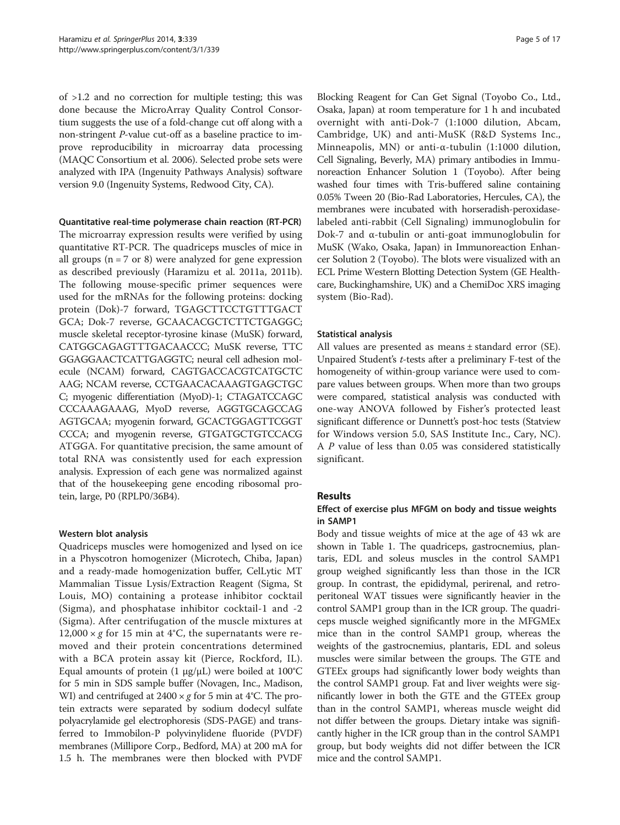of >1.2 and no correction for multiple testing; this was done because the MicroArray Quality Control Consortium suggests the use of a fold-change cut off along with a non-stringent P-value cut-off as a baseline practice to improve reproducibility in microarray data processing (MAQC Consortium et al. [2006\)](#page-15-0). Selected probe sets were analyzed with IPA (Ingenuity Pathways Analysis) software version 9.0 (Ingenuity Systems, Redwood City, CA).

Quantitative real-time polymerase chain reaction (RT-PCR)

The microarray expression results were verified by using quantitative RT-PCR. The quadriceps muscles of mice in all groups ( $n = 7$  or 8) were analyzed for gene expression as described previously (Haramizu et al. [2011a](#page-15-0), [2011b](#page-15-0)). The following mouse-specific primer sequences were used for the mRNAs for the following proteins: docking protein (Dok)-7 forward, TGAGCTTCCTGTTTGACT GCA; Dok-7 reverse, GCAACACGCTCTTCTGAGGC; muscle skeletal receptor-tyrosine kinase (MuSK) forward, CATGGCAGAGTTTGACAACCC; MuSK reverse, TTC GGAGGAACTCATTGAGGTC; neural cell adhesion molecule (NCAM) forward, CAGTGACCACGTCATGCTC AAG; NCAM reverse, CCTGAACACAAAGTGAGCTGC C; myogenic differentiation (MyoD)-1; CTAGATCCAGC CCCAAAGAAAG, MyoD reverse, AGGTGCAGCCAG AGTGCAA; myogenin forward, GCACTGGAGTTCGGT CCCA; and myogenin reverse, GTGATGCTGTCCACG ATGGA. For quantitative precision, the same amount of total RNA was consistently used for each expression analysis. Expression of each gene was normalized against that of the housekeeping gene encoding ribosomal protein, large, P0 (RPLP0/36B4).

#### Western blot analysis

Quadriceps muscles were homogenized and lysed on ice in a Physcotron homogenizer (Microtech, Chiba, Japan) and a ready-made homogenization buffer, CelLytic MT Mammalian Tissue Lysis/Extraction Reagent (Sigma, St Louis, MO) containing a protease inhibitor cocktail (Sigma), and phosphatase inhibitor cocktail-1 and -2 (Sigma). After centrifugation of the muscle mixtures at  $12,000 \times g$  for 15 min at 4°C, the supernatants were removed and their protein concentrations determined with a BCA protein assay kit (Pierce, Rockford, IL). Equal amounts of protein (1 μg/μL) were boiled at 100°C for 5 min in SDS sample buffer (Novagen, Inc., Madison, WI) and centrifuged at  $2400 \times g$  for 5 min at 4°C. The protein extracts were separated by sodium dodecyl sulfate polyacrylamide gel electrophoresis (SDS-PAGE) and transferred to Immobilon-P polyvinylidene fluoride (PVDF) membranes (Millipore Corp., Bedford, MA) at 200 mA for 1.5 h. The membranes were then blocked with PVDF

Blocking Reagent for Can Get Signal (Toyobo Co., Ltd., Osaka, Japan) at room temperature for 1 h and incubated overnight with anti-Dok-7 (1:1000 dilution, Abcam, Cambridge, UK) and anti-MuSK (R&D Systems Inc., Minneapolis, MN) or anti-α-tubulin (1:1000 dilution, Cell Signaling, Beverly, MA) primary antibodies in Immunoreaction Enhancer Solution 1 (Toyobo). After being washed four times with Tris-buffered saline containing 0.05% Tween 20 (Bio-Rad Laboratories, Hercules, CA), the membranes were incubated with horseradish-peroxidaselabeled anti-rabbit (Cell Signaling) immunoglobulin for Dok-7 and α-tubulin or anti-goat immunoglobulin for MuSK (Wako, Osaka, Japan) in Immunoreaction Enhancer Solution 2 (Toyobo). The blots were visualized with an ECL Prime Western Blotting Detection System (GE Healthcare, Buckinghamshire, UK) and a ChemiDoc XRS imaging system (Bio-Rad).

#### Statistical analysis

All values are presented as means ± standard error (SE). Unpaired Student's t-tests after a preliminary F-test of the homogeneity of within-group variance were used to compare values between groups. When more than two groups were compared, statistical analysis was conducted with one-way ANOVA followed by Fisher's protected least significant difference or Dunnett's post-hoc tests (Statview for Windows version 5.0, SAS Institute Inc., Cary, NC). A P value of less than 0.05 was considered statistically significant.

#### Results

#### Effect of exercise plus MFGM on body and tissue weights in SAMP1

Body and tissue weights of mice at the age of 43 wk are shown in Table [1.](#page-5-0) The quadriceps, gastrocnemius, plantaris, EDL and soleus muscles in the control SAMP1 group weighed significantly less than those in the ICR group. In contrast, the epididymal, perirenal, and retroperitoneal WAT tissues were significantly heavier in the control SAMP1 group than in the ICR group. The quadriceps muscle weighed significantly more in the MFGMEx mice than in the control SAMP1 group, whereas the weights of the gastrocnemius, plantaris, EDL and soleus muscles were similar between the groups. The GTE and GTEEx groups had significantly lower body weights than the control SAMP1 group. Fat and liver weights were significantly lower in both the GTE and the GTEEx group than in the control SAMP1, whereas muscle weight did not differ between the groups. Dietary intake was significantly higher in the ICR group than in the control SAMP1 group, but body weights did not differ between the ICR mice and the control SAMP1.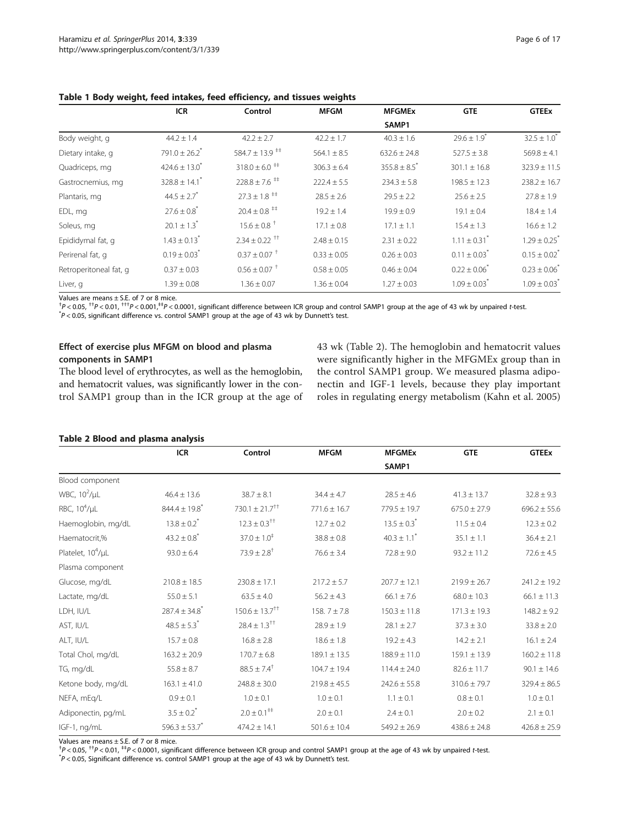|                        | <b>ICR</b>                    | Control                        | <b>MFGM</b>     | <b>MFGMEx</b>                | <b>GTE</b>                   | <b>GTEEx</b>                 |
|------------------------|-------------------------------|--------------------------------|-----------------|------------------------------|------------------------------|------------------------------|
|                        |                               |                                |                 | SAMP1                        |                              |                              |
| Body weight, g         | $44.2 \pm 1.4$                | $42.2 \pm 2.7$                 | $42.2 \pm 1.7$  | $40.3 \pm 1.6$               | $29.6 \pm 1.9$ <sup>*</sup>  | $32.5 \pm 1.0^{*}$           |
| Dietary intake, q      | $791.0 + 26.2$ <sup>*</sup>   | $584.7 \pm 13.9$ <sup>##</sup> | $564.1 \pm 8.5$ | $632.6 \pm 24.8$             | $527.5 \pm 3.8$              | $569.8 \pm 4.1$              |
| Quadriceps, mg         | $424.6 \pm 13.0^{\degree}$    | $318.0 \pm 6.0$ <sup>##</sup>  | $306.3 \pm 6.4$ | $355.8 \pm 8.5$ <sup>*</sup> | $301.1 \pm 16.8$             | $323.9 \pm 11.5$             |
| Gastrocnemius, mg      | $328.8 \pm 14.1$ <sup>*</sup> | $228.8 \pm 7.6$ <sup>##</sup>  | $222.4 \pm 5.5$ | $234.3 \pm 5.8$              | $198.5 \pm 12.3$             | $238.2 \pm 16.7$             |
| Plantaris, mg          | $44.5 \pm 2.7$ <sup>*</sup>   | $27.3 \pm 1.8$ <sup>##</sup>   | $28.5 \pm 2.6$  | $29.5 \pm 2.2$               | $25.6 \pm 2.5$               | $27.8 \pm 1.9$               |
| EDL, mg                | $27.6 \pm 0.8$ <sup>*</sup>   | $20.4 \pm 0.8$ <sup>##</sup>   | $19.2 \pm 1.4$  | $19.9 + 0.9$                 | $19.1 \pm 0.4$               | $18.4 \pm 1.4$               |
| Soleus, mg             | $20.1 \pm 1.3$ <sup>*</sup>   | $15.6 \pm 0.8$ <sup>+</sup>    | $17.1 \pm 0.8$  | $17.1 + 1.1$                 | $15.4 \pm 1.3$               | $16.6 \pm 1.2$               |
| Epididymal fat, q      | $1.43 \pm 0.13$ <sup>*</sup>  | $2.34 \pm 0.22$ <sup>++</sup>  | $2.48 \pm 0.15$ | $2.31 \pm 0.22$              | $1.11 \pm 0.31^*$            | $1.29 \pm 0.25$              |
| Perirenal fat, q       | $0.19 \pm 0.03$ <sup>*</sup>  | $0.37 \pm 0.07$ <sup>+</sup>   | $0.33 \pm 0.05$ | $0.26 \pm 0.03$              | $0.11 \pm 0.03$ <sup>*</sup> | $0.15 \pm 0.02$ <sup>*</sup> |
| Retroperitoneal fat, q | $0.37 \pm 0.03$               | $0.56 \pm 0.07$ <sup>+</sup>   | $0.58 \pm 0.05$ | $0.46 \pm 0.04$              | $0.22 \pm 0.06^*$            | $0.23 \pm 0.06^*$            |
| Liver, q               | $1.39 \pm 0.08$               | $1.36 \pm 0.07$                | $1.36 \pm 0.04$ | $1.27 \pm 0.03$              | $1.09 \pm 0.03$ <sup>*</sup> | $1.09 \pm 0.03$ <sup>*</sup> |

<span id="page-5-0"></span>

|  |  |  | Table 1 Body weight, feed intakes, feed efficiency, and tissues weights |  |  |  |
|--|--|--|-------------------------------------------------------------------------|--|--|--|
|--|--|--|-------------------------------------------------------------------------|--|--|--|

Values are means±S.E. of 7 or 8 mice.<br><sup>†</sup>P<0.05, <sup>††</sup>P<0.01, <sup>†††</sup>P<0.001, \*P<0.0001, significant difference between ICR group and control SAMP1 group at the age of 43 wk by unpaired *t-*test.<br><sup>\*P<0.05, \*ignificant differe</sup>

 $p^*P < 0.05$ , significant difference vs. control SAMP1 group at the age of 43 wk by Dunnett's test.

## Effect of exercise plus MFGM on blood and plasma components in SAMP1

The blood level of erythrocytes, as well as the hemoglobin, and hematocrit values, was significantly lower in the control SAMP1 group than in the ICR group at the age of 43 wk (Table 2). The hemoglobin and hematocrit values were significantly higher in the MFGMEx group than in the control SAMP1 group. We measured plasma adiponectin and IGF-1 levels, because they play important roles in regulating energy metabolism (Kahn et al. [2005](#page-15-0))

## Table 2 Blood and plasma analysis

|                        | <b>ICR</b>                    | Control                           | <b>MFGM</b>      | <b>MFGMEx</b>               | <b>GTE</b>       | <b>GTEEx</b>     |
|------------------------|-------------------------------|-----------------------------------|------------------|-----------------------------|------------------|------------------|
|                        | SAMP1                         |                                   |                  |                             |                  |                  |
| Blood component        |                               |                                   |                  |                             |                  |                  |
| WBC, $10^2/\mu L$      | $46.4 \pm 13.6$               | $38.7 \pm 8.1$                    | $34.4 \pm 4.7$   | $28.5 \pm 4.6$              | $41.3 \pm 13.7$  | $32.8 \pm 9.3$   |
| RBC, $10^4/\mu L$      | $844.4 \pm 19.8$              | $730.1 \pm 21.7^{++}$             | $771.6 \pm 16.7$ | $779.5 \pm 19.7$            | $675.0 \pm 27.9$ | $696.2 \pm 55.6$ |
| Haemoglobin, mg/dL     | $13.8 \pm 0.2^*$              | $12.3 \pm 0.3^{+1}$               | $12.7 \pm 0.2$   | $13.5 \pm 0.3^*$            | $11.5 \pm 0.4$   | $12.3 \pm 0.2$   |
| Haematocrit,%          | $43.2 \pm 0.8$ <sup>*</sup>   | $37.0 \pm 1.0^{\ddagger}$         | $38.8 \pm 0.8$   | $40.3 \pm 1.1$ <sup>*</sup> | $35.1 \pm 1.1$   | $36.4 \pm 2.1$   |
| Platelet, $10^4/\mu L$ | $93.0 \pm 6.4$                | $73.9 \pm 2.8$ <sup>†</sup>       | $76.6 \pm 3.4$   | $72.8 \pm 9.0$              | $93.2 \pm 11.2$  | $72.6 \pm 4.5$   |
| Plasma component       |                               |                                   |                  |                             |                  |                  |
| Glucose, mg/dL         | $210.8 \pm 18.5$              | $230.8 \pm 17.1$                  | $217.2 \pm 5.7$  | $207.7 \pm 12.1$            | $219.9 \pm 26.7$ | $241.2 \pm 19.2$ |
| Lactate, mg/dL         | $55.0 \pm 5.1$                | $63.5 \pm 4.0$                    | $56.2 \pm 4.3$   | $66.1 \pm 7.6$              | $68.0 \pm 10.3$  | $66.1 \pm 11.3$  |
| LDH, IU/L              | $287.4 \pm 34.8$ <sup>*</sup> | $150.6 \pm 13.7^{\dagger\dagger}$ | 158.7 $\pm$ 7.8  | $150.3 \pm 11.8$            | $171.3 \pm 19.3$ | $148.2 \pm 9.2$  |
| AST, IU/L              | $48.5 \pm 5.3$ <sup>*</sup>   | $28.4 \pm 1.3^{++}$               | $28.9 \pm 1.9$   | $28.1 \pm 2.7$              | $37.3 \pm 3.0$   | $33.8 \pm 2.0$   |
| ALT, IU/L              | $15.7 \pm 0.8$                | $16.8 \pm 2.8$                    | $18.6 \pm 1.8$   | $19.2 \pm 4.3$              | $14.2 \pm 2.1$   | $16.1 \pm 2.4$   |
| Total Chol, mg/dL      | $163.2 \pm 20.9$              | $170.7 \pm 6.8$                   | $189.1 \pm 13.5$ | $188.9 \pm 11.0$            | $159.1 \pm 13.9$ | $160.2 \pm 11.8$ |
| TG, mg/dL              | $55.8 \pm 8.7$                | $88.5 \pm 7.4$ <sup>†</sup>       | $104.7 \pm 19.4$ | $114.4 \pm 24.0$            | $82.6 \pm 11.7$  | $90.1 \pm 14.6$  |
| Ketone body, mg/dL     | $163.1 \pm 41.0$              | $248.8 \pm 30.0$                  | $219.8 \pm 45.5$ | $242.6 \pm 55.8$            | $310.6 \pm 79.7$ | $329.4 \pm 86.5$ |
| NEFA, mEq/L            | $0.9 \pm 0.1$                 | $1.0 \pm 0.1$                     | $1.0 \pm 0.1$    | $1.1 \pm 0.1$               | $0.8 \pm 0.1$    | $1.0 \pm 0.1$    |
| Adiponectin, pg/mL     | $3.5 \pm 0.2^*$               | $2.0 \pm 0.1^{++}$                | $2.0 \pm 0.1$    | $2.4 \pm 0.1$               | $2.0 \pm 0.2$    | $2.1 \pm 0.1$    |
| IGF-1, ng/mL           | $596.3 \pm 53.7$              | $474.2 \pm 14.1$                  | $501.6 \pm 10.4$ | $549.2 \pm 26.9$            | $438.6 \pm 24.8$ | $426.8 \pm 25.9$ |

Values are means  $\pm$  S.E. of 7 or 8 mice.

<sup>†</sup>P < 0.05, <sup>††</sup>P < 0.01, <sup>‡‡</sup>P < 0.0001, significant difference between ICR group and control SAMP1 group at the age of 43 wk by unpaired t-test.<br><sup>\*</sup>P < 0.05, Significant difference ys, control SAMP1 group at the age of

 $p^*P < 0.05$ , Significant difference vs. control SAMP1 group at the age of 43 wk by Dunnett's test.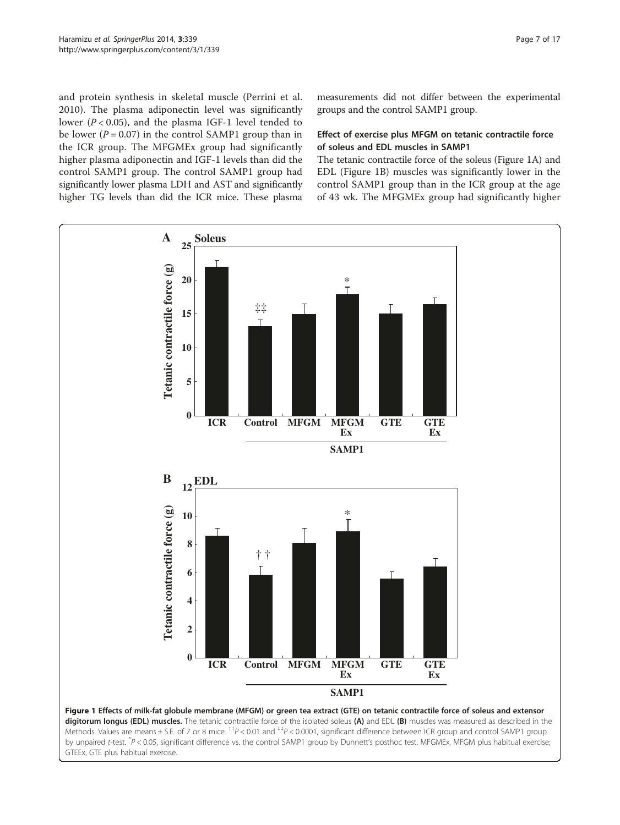<span id="page-6-0"></span>and protein synthesis in skeletal muscle (Perrini et al. [2010\)](#page-15-0). The plasma adiponectin level was significantly lower ( $P < 0.05$ ), and the plasma IGF-1 level tended to be lower ( $P = 0.07$ ) in the control SAMP1 group than in the ICR group. The MFGMEx group had significantly higher plasma adiponectin and IGF-1 levels than did the control SAMP1 group. The control SAMP1 group had significantly lower plasma LDH and AST and significantly higher TG levels than did the ICR mice. These plasma

measurements did not differ between the experimental groups and the control SAMP1 group.

#### Effect of exercise plus MFGM on tetanic contractile force of soleus and EDL muscles in SAMP1

The tetanic contractile force of the soleus (Figure 1A) and EDL (Figure 1B) muscles was significantly lower in the control SAMP1 group than in the ICR group at the age of 43 wk. The MFGMEx group had significantly higher



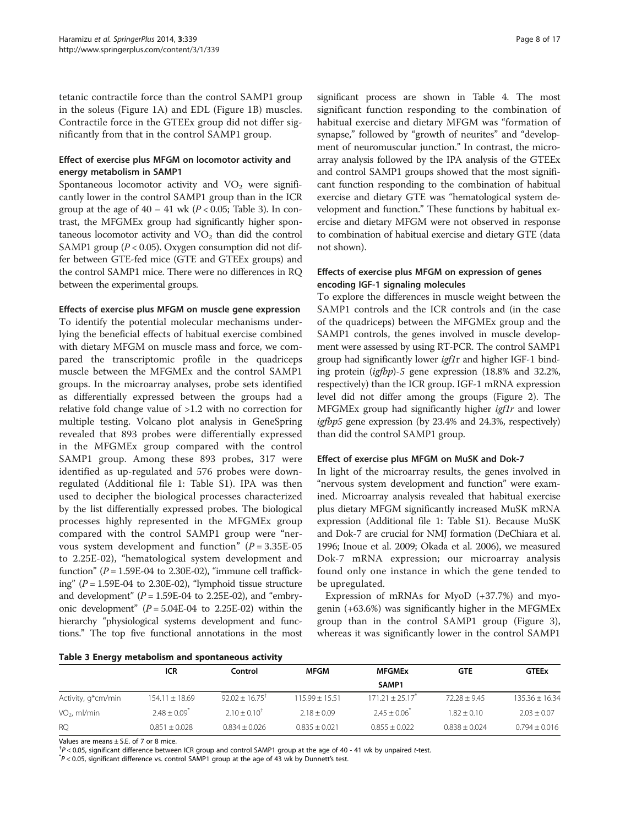tetanic contractile force than the control SAMP1 group in the soleus (Figure [1](#page-6-0)A) and EDL (Figure [1B](#page-6-0)) muscles. Contractile force in the GTEEx group did not differ significantly from that in the control SAMP1 group.

## Effect of exercise plus MFGM on locomotor activity and energy metabolism in SAMP1

Spontaneous locomotor activity and  $VO<sub>2</sub>$  were significantly lower in the control SAMP1 group than in the ICR group at the age of  $40 - 41$  wk ( $P < 0.05$ ; Table 3). In contrast, the MFGMEx group had significantly higher spontaneous locomotor activity and  $VO<sub>2</sub>$  than did the control SAMP1 group ( $P < 0.05$ ). Oxygen consumption did not differ between GTE-fed mice (GTE and GTEEx groups) and the control SAMP1 mice. There were no differences in RQ between the experimental groups.

## Effects of exercise plus MFGM on muscle gene expression

To identify the potential molecular mechanisms underlying the beneficial effects of habitual exercise combined with dietary MFGM on muscle mass and force, we compared the transcriptomic profile in the quadriceps muscle between the MFGMEx and the control SAMP1 groups. In the microarray analyses, probe sets identified as differentially expressed between the groups had a relative fold change value of >1.2 with no correction for multiple testing. Volcano plot analysis in GeneSpring revealed that 893 probes were differentially expressed in the MFGMEx group compared with the control SAMP1 group. Among these 893 probes, 317 were identified as up-regulated and 576 probes were downregulated (Additional file [1:](#page-14-0) Table S1). IPA was then used to decipher the biological processes characterized by the list differentially expressed probes. The biological processes highly represented in the MFGMEx group compared with the control SAMP1 group were "nervous system development and function"  $(P = 3.35E - 05$ to 2.25E-02), "hematological system development and function" ( $P = 1.59E-04$  to 2.30E-02), "immune cell trafficking" ( $P = 1.59E-04$  to 2.30E-02), "lymphoid tissue structure and development"  $(P = 1.59E-04$  to 2.25E-02), and "embryonic development"  $(P = 5.04E-04$  to 2.25E-02) within the hierarchy "physiological systems development and functions." The top five functional annotations in the most

|  |  |  |  | Table 3 Energy metabolism and spontaneous activity |  |
|--|--|--|--|----------------------------------------------------|--|
|--|--|--|--|----------------------------------------------------|--|

significant process are shown in Table [4](#page-8-0). The most significant function responding to the combination of habitual exercise and dietary MFGM was "formation of synapse," followed by "growth of neurites" and "development of neuromuscular junction." In contrast, the microarray analysis followed by the IPA analysis of the GTEEx and control SAMP1 groups showed that the most significant function responding to the combination of habitual exercise and dietary GTE was "hematological system development and function." These functions by habitual exercise and dietary MFGM were not observed in response to combination of habitual exercise and dietary GTE (data not shown).

#### Effects of exercise plus MFGM on expression of genes encoding IGF-1 signaling molecules

To explore the differences in muscle weight between the SAMP1 controls and the ICR controls and (in the case of the quadriceps) between the MFGMEx group and the SAMP1 controls, the genes involved in muscle development were assessed by using RT-PCR. The control SAMP1 group had significantly lower igf1r and higher IGF-1 binding protein (igfbp)-5 gene expression (18.8% and 32.2%, respectively) than the ICR group. IGF-1 mRNA expression level did not differ among the groups (Figure [2](#page-8-0)). The MFGMEx group had significantly higher  $\frac{igf}{dr}$  and lower igfbp5 gene expression (by 23.4% and 24.3%, respectively) than did the control SAMP1 group.

#### Effect of exercise plus MFGM on MuSK and Dok-7

In light of the microarray results, the genes involved in "nervous system development and function" were examined. Microarray analysis revealed that habitual exercise plus dietary MFGM significantly increased MuSK mRNA expression (Additional file [1](#page-14-0): Table S1). Because MuSK and Dok-7 are crucial for NMJ formation (DeChiara et al. [1996](#page-14-0); Inoue et al. [2009;](#page-15-0) Okada et al. [2006\)](#page-15-0), we measured Dok-7 mRNA expression; our microarray analysis found only one instance in which the gene tended to be upregulated.

Expression of mRNAs for MyoD (+37.7%) and myogenin (+63.6%) was significantly higher in the MFGMEx group than in the control SAMP1 group (Figure [3](#page-9-0)), whereas it was significantly lower in the control SAMP1

|                          | ICR                          | Control                        | MFGM             | <b>MFGMEx</b>         | <b>GTE</b>      | <b>GTEEx</b>       |
|--------------------------|------------------------------|--------------------------------|------------------|-----------------------|-----------------|--------------------|
|                          |                              |                                |                  | SAMP1                 |                 |                    |
| Activity, g*cm/min       | $154.11 \pm 18.69$           | $92.02 \pm 16.75$ <sup>†</sup> | $115.99 + 15.51$ | $171.21 + 25.17$      | $72.28 + 9.45$  | $135.36 \pm 16.34$ |
| VO <sub>2</sub> , ml/min | $2.48 \pm 0.09$ <sup>*</sup> | $2.10 + 0.10^{T}$              | $2.18 \pm 0.09$  | $2.45 + 0.06^{\circ}$ | $1.82 + 0.10$   | $2.03 \pm 0.07$    |
| RO.                      | $0.851 \pm 0.028$            | $0.834 + 0.026$                | $0.835 + 0.021$  | $0.855 + 0.022$       | $0.838 + 0.024$ | $0.794 + 0.016$    |

Values are means  $\pm$  S.E. of 7 or 8 mice.

<sup>†</sup>P < 0.05, significant difference between ICR group and control SAMP1 group at the age of 40 - 41 wk by unpaired t-test.<br><sup>\*</sup>P < 0.05, significant difference ys, control SAMP1 group at the age of 43 wk by Dunpett's test.

 $P$  < 0.05, significant difference vs. control SAMP1 group at the age of 43 wk by Dunnett's test.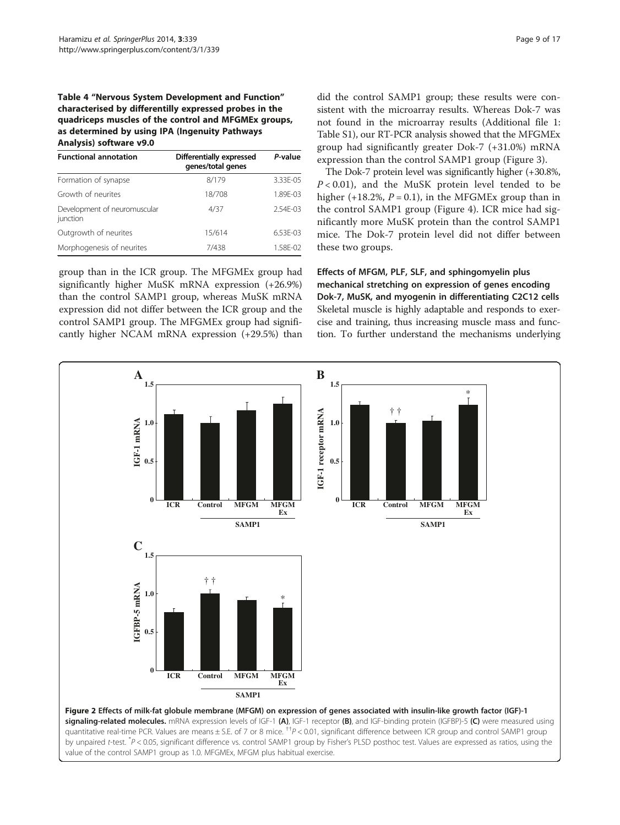#### <span id="page-8-0"></span>Table 4 "Nervous System Development and Function" characterised by differentilly expressed probes in the quadriceps muscles of the control and MFGMEx groups, as determined by using IPA (Ingenuity Pathways Analysis) software v9.0

| <b>Functional annotation</b>             | Differentially expressed<br>genes/total genes | P-value      |
|------------------------------------------|-----------------------------------------------|--------------|
| Formation of synapse                     | 8/179                                         | 3.33E-05     |
| Growth of neurites                       | 18/708                                        | 1.89E-03     |
| Development of neuromuscular<br>junction | 4/37                                          | $2.54F - 03$ |
| Outgrowth of neurites                    | 15/614                                        | 6.53E-03     |
| Morphogenesis of neurites                | 7/438                                         | 1.58E-02     |
|                                          |                                               |              |

group than in the ICR group. The MFGMEx group had significantly higher MuSK mRNA expression (+26.9%) than the control SAMP1 group, whereas MuSK mRNA expression did not differ between the ICR group and the control SAMP1 group. The MFGMEx group had significantly higher NCAM mRNA expression (+29.5%) than did the control SAMP1 group; these results were consistent with the microarray results. Whereas Dok-7 was not found in the microarray results (Additional file [1](#page-14-0): Table S1), our RT-PCR analysis showed that the MFGMEx group had significantly greater Dok-7 (+31.0%) mRNA expression than the control SAMP1 group (Figure [3](#page-9-0)).

The Dok-7 protein level was significantly higher (+30.8%,  $P < 0.01$ ), and the MuSK protein level tended to be higher (+18.2%,  $P = 0.1$ ), in the MFGMEx group than in the control SAMP1 group (Figure [4\)](#page-10-0). ICR mice had significantly more MuSK protein than the control SAMP1 mice. The Dok-7 protein level did not differ between these two groups.

## Effects of MFGM, PLF, SLF, and sphingomyelin plus mechanical stretching on expression of genes encoding Dok-7, MuSK, and myogenin in differentiating C2C12 cells Skeletal muscle is highly adaptable and responds to exercise and training, thus increasing muscle mass and function. To further understand the mechanisms underlying

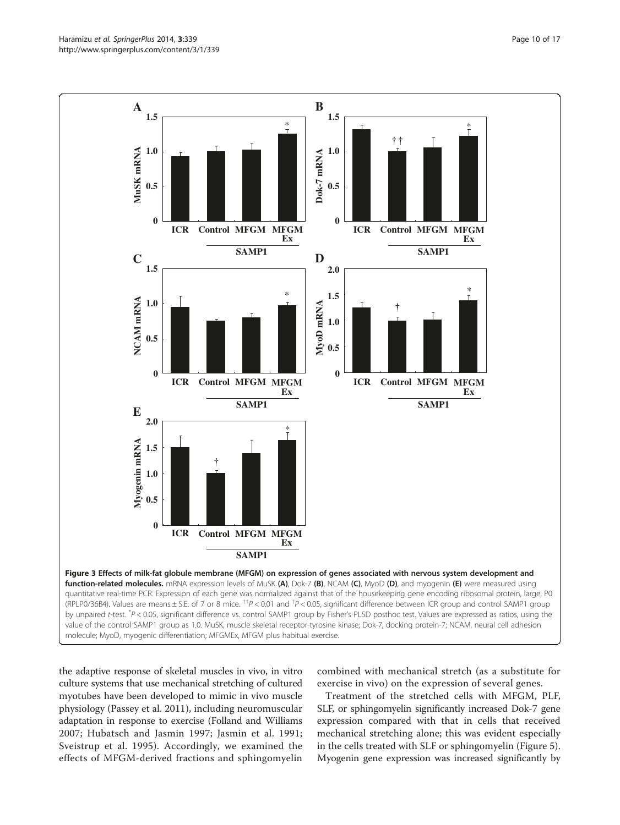<span id="page-9-0"></span>Haramizu *et al. SpringerPlus* 2014, **3:**339 Page 10 of 17<br>http://www.springerplus.com/content/3/1/339 Page 10 of 17



the adaptive response of skeletal muscles in vivo, in vitro culture systems that use mechanical stretching of cultured myotubes have been developed to mimic in vivo muscle physiology (Passey et al. [2011](#page-15-0)), including neuromuscular adaptation in response to exercise (Folland and Williams [2007](#page-14-0); Hubatsch and Jasmin [1997](#page-15-0); Jasmin et al. [1991](#page-15-0); Sveistrup et al. [1995](#page-15-0)). Accordingly, we examined the effects of MFGM-derived fractions and sphingomyelin combined with mechanical stretch (as a substitute for exercise in vivo) on the expression of several genes.

Treatment of the stretched cells with MFGM, PLF, SLF, or sphingomyelin significantly increased Dok-7 gene expression compared with that in cells that received mechanical stretching alone; this was evident especially in the cells treated with SLF or sphingomyelin (Figure [5](#page-11-0)). Myogenin gene expression was increased significantly by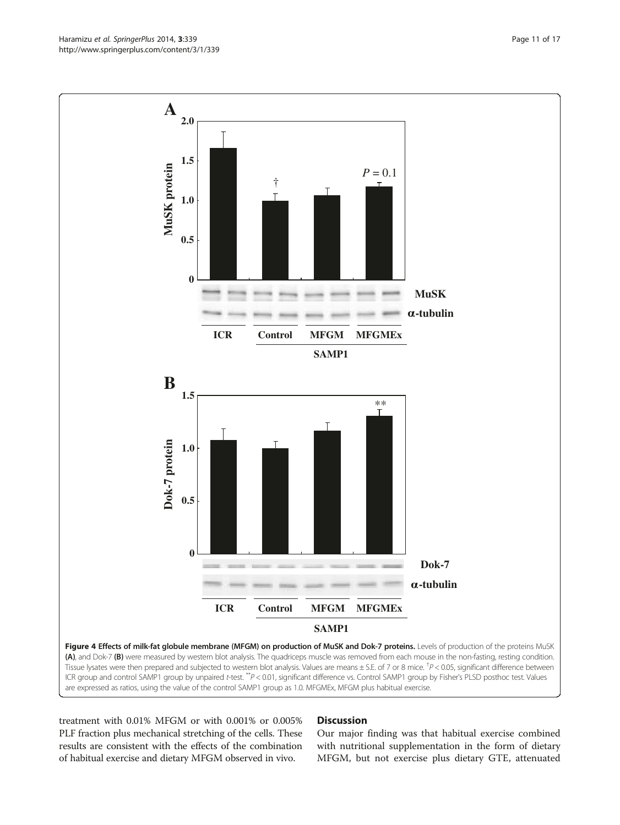treatment with 0.01% MFGM or with 0.001% or 0.005% PLF fraction plus mechanical stretching of the cells. These results are consistent with the effects of the combination of habitual exercise and dietary MFGM observed in vivo.

## **Discussion**

Our major finding was that habitual exercise combined with nutritional supplementation in the form of dietary MFGM, but not exercise plus dietary GTE, attenuated



<span id="page-10-0"></span>Haramizu *et al. SpringerPlus* 2014, **3:**339 Page 11 of 17<br>http://www.springerplus.com/content/3/1/339 Page 11 of 17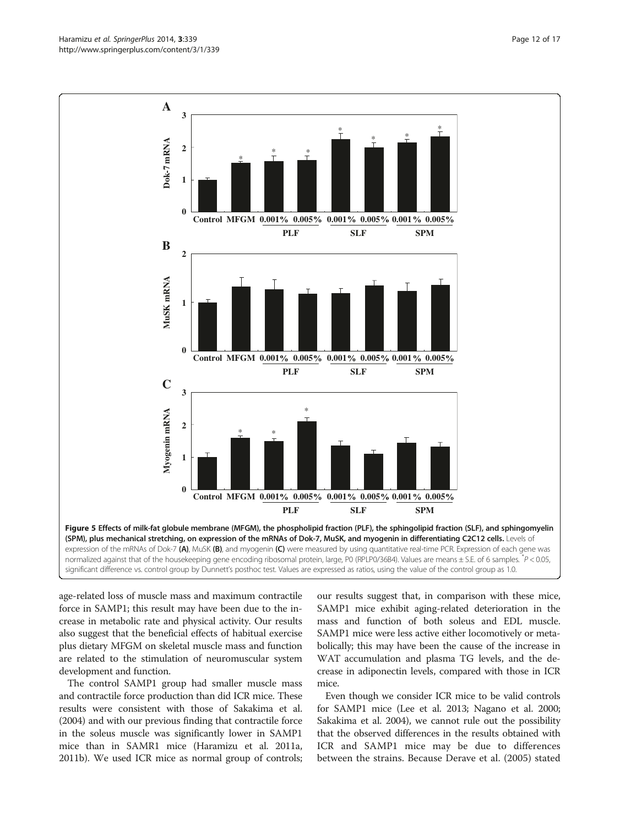age-related loss of muscle mass and maximum contractile force in SAMP1; this result may have been due to the increase in metabolic rate and physical activity. Our results also suggest that the beneficial effects of habitual exercise plus dietary MFGM on skeletal muscle mass and function are related to the stimulation of neuromuscular system development and function.

The control SAMP1 group had smaller muscle mass and contractile force production than did ICR mice. These results were consistent with those of Sakakima et al. ([2004](#page-15-0)) and with our previous finding that contractile force in the soleus muscle was significantly lower in SAMP1 mice than in SAMR1 mice (Haramizu et al. [2011a](#page-15-0), [2011b](#page-15-0)). We used ICR mice as normal group of controls; our results suggest that, in comparison with these mice, SAMP1 mice exhibit aging-related deterioration in the mass and function of both soleus and EDL muscle. SAMP1 mice were less active either locomotively or metabolically; this may have been the cause of the increase in WAT accumulation and plasma TG levels, and the decrease in adiponectin levels, compared with those in ICR mice.

Even though we consider ICR mice to be valid controls for SAMP1 mice (Lee et al. [2013](#page-15-0); Nagano et al. [2000](#page-15-0); Sakakima et al. [2004\)](#page-15-0), we cannot rule out the possibility that the observed differences in the results obtained with ICR and SAMP1 mice may be due to differences between the strains. Because Derave et al. [\(2005](#page-14-0)) stated

<span id="page-11-0"></span>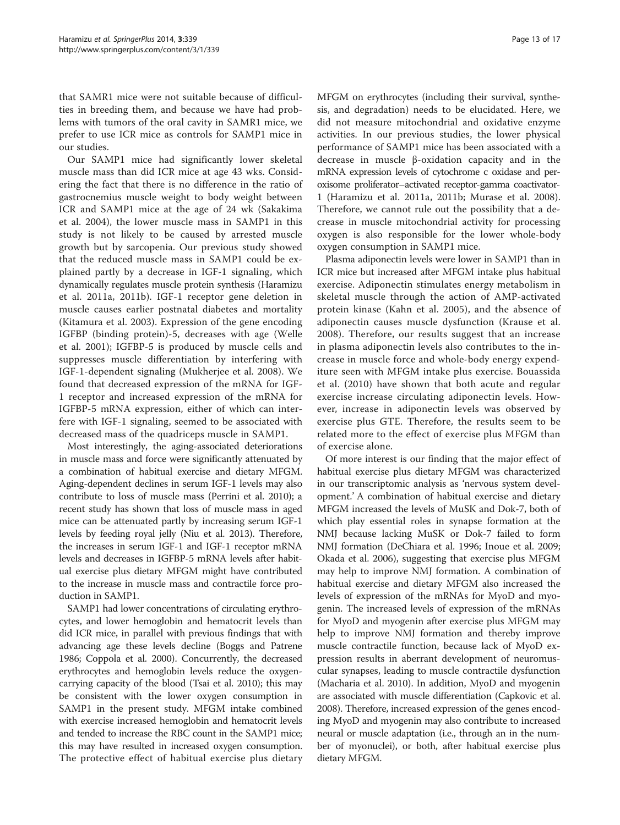that SAMR1 mice were not suitable because of difficulties in breeding them, and because we have had problems with tumors of the oral cavity in SAMR1 mice, we prefer to use ICR mice as controls for SAMP1 mice in our studies.

Our SAMP1 mice had significantly lower skeletal muscle mass than did ICR mice at age 43 wks. Considering the fact that there is no difference in the ratio of gastrocnemius muscle weight to body weight between ICR and SAMP1 mice at the age of 24 wk (Sakakima et al. [2004](#page-15-0)), the lower muscle mass in SAMP1 in this study is not likely to be caused by arrested muscle growth but by sarcopenia. Our previous study showed that the reduced muscle mass in SAMP1 could be explained partly by a decrease in IGF-1 signaling, which dynamically regulates muscle protein synthesis (Haramizu et al. [2011a](#page-15-0), [2011b](#page-15-0)). IGF-1 receptor gene deletion in muscle causes earlier postnatal diabetes and mortality (Kitamura et al. [2003\)](#page-15-0). Expression of the gene encoding IGFBP (binding protein)-5, decreases with age (Welle et al. [2001](#page-16-0)); IGFBP-5 is produced by muscle cells and suppresses muscle differentiation by interfering with IGF-1-dependent signaling (Mukherjee et al. [2008](#page-15-0)). We found that decreased expression of the mRNA for IGF-1 receptor and increased expression of the mRNA for IGFBP-5 mRNA expression, either of which can interfere with IGF-1 signaling, seemed to be associated with decreased mass of the quadriceps muscle in SAMP1.

Most interestingly, the aging-associated deteriorations in muscle mass and force were significantly attenuated by a combination of habitual exercise and dietary MFGM. Aging-dependent declines in serum IGF-1 levels may also contribute to loss of muscle mass (Perrini et al. [2010](#page-15-0)); a recent study has shown that loss of muscle mass in aged mice can be attenuated partly by increasing serum IGF-1 levels by feeding royal jelly (Niu et al. [2013\)](#page-15-0). Therefore, the increases in serum IGF-1 and IGF-1 receptor mRNA levels and decreases in IGFBP-5 mRNA levels after habitual exercise plus dietary MFGM might have contributed to the increase in muscle mass and contractile force production in SAMP1.

SAMP1 had lower concentrations of circulating erythrocytes, and lower hemoglobin and hematocrit levels than did ICR mice, in parallel with previous findings that with advancing age these levels decline (Boggs and Patrene [1986;](#page-14-0) Coppola et al. [2000\)](#page-14-0). Concurrently, the decreased erythrocytes and hemoglobin levels reduce the oxygencarrying capacity of the blood (Tsai et al. [2010](#page-16-0)); this may be consistent with the lower oxygen consumption in SAMP1 in the present study. MFGM intake combined with exercise increased hemoglobin and hematocrit levels and tended to increase the RBC count in the SAMP1 mice; this may have resulted in increased oxygen consumption. The protective effect of habitual exercise plus dietary MFGM on erythrocytes (including their survival, synthesis, and degradation) needs to be elucidated. Here, we did not measure mitochondrial and oxidative enzyme activities. In our previous studies, the lower physical performance of SAMP1 mice has been associated with a decrease in muscle β-oxidation capacity and in the mRNA expression levels of cytochrome c oxidase and peroxisome proliferator–activated receptor-gamma coactivator-1 (Haramizu et al. [2011a](#page-15-0), [2011b](#page-15-0); Murase et al. [2008](#page-15-0)). Therefore, we cannot rule out the possibility that a decrease in muscle mitochondrial activity for processing oxygen is also responsible for the lower whole-body oxygen consumption in SAMP1 mice.

Plasma adiponectin levels were lower in SAMP1 than in ICR mice but increased after MFGM intake plus habitual exercise. Adiponectin stimulates energy metabolism in skeletal muscle through the action of AMP-activated protein kinase (Kahn et al. [2005](#page-15-0)), and the absence of adiponectin causes muscle dysfunction (Krause et al. [2008](#page-15-0)). Therefore, our results suggest that an increase in plasma adiponectin levels also contributes to the increase in muscle force and whole-body energy expenditure seen with MFGM intake plus exercise. Bouassida et al. ([2010\)](#page-14-0) have shown that both acute and regular exercise increase circulating adiponectin levels. However, increase in adiponectin levels was observed by exercise plus GTE. Therefore, the results seem to be related more to the effect of exercise plus MFGM than of exercise alone.

Of more interest is our finding that the major effect of habitual exercise plus dietary MFGM was characterized in our transcriptomic analysis as 'nervous system development.' A combination of habitual exercise and dietary MFGM increased the levels of MuSK and Dok-7, both of which play essential roles in synapse formation at the NMJ because lacking MuSK or Dok-7 failed to form NMJ formation (DeChiara et al. [1996](#page-14-0); Inoue et al. [2009](#page-15-0); Okada et al. [2006\)](#page-15-0), suggesting that exercise plus MFGM may help to improve NMJ formation. A combination of habitual exercise and dietary MFGM also increased the levels of expression of the mRNAs for MyoD and myogenin. The increased levels of expression of the mRNAs for MyoD and myogenin after exercise plus MFGM may help to improve NMJ formation and thereby improve muscle contractile function, because lack of MyoD expression results in aberrant development of neuromuscular synapses, leading to muscle contractile dysfunction (Macharia et al. [2010\)](#page-15-0). In addition, MyoD and myogenin are associated with muscle differentiation (Capkovic et al. [2008\)](#page-14-0). Therefore, increased expression of the genes encoding MyoD and myogenin may also contribute to increased neural or muscle adaptation (i.e., through an in the number of myonuclei), or both, after habitual exercise plus dietary MFGM.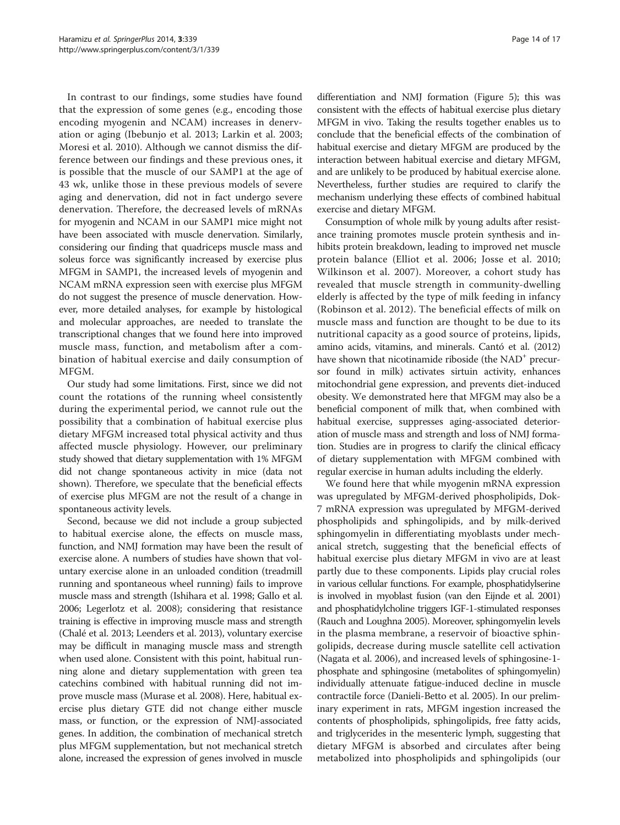In contrast to our findings, some studies have found that the expression of some genes (e.g., encoding those encoding myogenin and NCAM) increases in denervation or aging (Ibebunjo et al. [2013;](#page-15-0) Larkin et al. [2003](#page-15-0); Moresi et al. [2010](#page-15-0)). Although we cannot dismiss the difference between our findings and these previous ones, it is possible that the muscle of our SAMP1 at the age of 43 wk, unlike those in these previous models of severe aging and denervation, did not in fact undergo severe denervation. Therefore, the decreased levels of mRNAs for myogenin and NCAM in our SAMP1 mice might not have been associated with muscle denervation. Similarly, considering our finding that quadriceps muscle mass and soleus force was significantly increased by exercise plus MFGM in SAMP1, the increased levels of myogenin and NCAM mRNA expression seen with exercise plus MFGM do not suggest the presence of muscle denervation. However, more detailed analyses, for example by histological and molecular approaches, are needed to translate the transcriptional changes that we found here into improved muscle mass, function, and metabolism after a combination of habitual exercise and daily consumption of MFGM.

Our study had some limitations. First, since we did not count the rotations of the running wheel consistently during the experimental period, we cannot rule out the possibility that a combination of habitual exercise plus dietary MFGM increased total physical activity and thus affected muscle physiology. However, our preliminary study showed that dietary supplementation with 1% MFGM did not change spontaneous activity in mice (data not shown). Therefore, we speculate that the beneficial effects of exercise plus MFGM are not the result of a change in spontaneous activity levels.

Second, because we did not include a group subjected to habitual exercise alone, the effects on muscle mass, function, and NMJ formation may have been the result of exercise alone. A numbers of studies have shown that voluntary exercise alone in an unloaded condition (treadmill running and spontaneous wheel running) fails to improve muscle mass and strength (Ishihara et al. [1998](#page-15-0); Gallo et al. [2006;](#page-14-0) Legerlotz et al. [2008\)](#page-15-0); considering that resistance training is effective in improving muscle mass and strength (Chalé et al. [2013](#page-14-0); Leenders et al. [2013\)](#page-15-0), voluntary exercise may be difficult in managing muscle mass and strength when used alone. Consistent with this point, habitual running alone and dietary supplementation with green tea catechins combined with habitual running did not improve muscle mass (Murase et al. [2008](#page-15-0)). Here, habitual exercise plus dietary GTE did not change either muscle mass, or function, or the expression of NMJ-associated genes. In addition, the combination of mechanical stretch plus MFGM supplementation, but not mechanical stretch alone, increased the expression of genes involved in muscle differentiation and NMJ formation (Figure [5\)](#page-11-0); this was consistent with the effects of habitual exercise plus dietary MFGM in vivo. Taking the results together enables us to conclude that the beneficial effects of the combination of habitual exercise and dietary MFGM are produced by the interaction between habitual exercise and dietary MFGM, and are unlikely to be produced by habitual exercise alone. Nevertheless, further studies are required to clarify the mechanism underlying these effects of combined habitual exercise and dietary MFGM.

Consumption of whole milk by young adults after resistance training promotes muscle protein synthesis and inhibits protein breakdown, leading to improved net muscle protein balance (Elliot et al. [2006;](#page-14-0) Josse et al. [2010](#page-15-0); Wilkinson et al. [2007](#page-16-0)). Moreover, a cohort study has revealed that muscle strength in community-dwelling elderly is affected by the type of milk feeding in infancy (Robinson et al. [2012](#page-15-0)). The beneficial effects of milk on muscle mass and function are thought to be due to its nutritional capacity as a good source of proteins, lipids, amino acids, vitamins, and minerals. Cantó et al. [\(2012](#page-14-0)) have shown that nicotinamide riboside (the NAD<sup>+</sup> precursor found in milk) activates sirtuin activity, enhances mitochondrial gene expression, and prevents diet-induced obesity. We demonstrated here that MFGM may also be a beneficial component of milk that, when combined with habitual exercise, suppresses aging-associated deterioration of muscle mass and strength and loss of NMJ formation. Studies are in progress to clarify the clinical efficacy of dietary supplementation with MFGM combined with regular exercise in human adults including the elderly.

We found here that while myogenin mRNA expression was upregulated by MFGM-derived phospholipids, Dok-7 mRNA expression was upregulated by MFGM-derived phospholipids and sphingolipids, and by milk-derived sphingomyelin in differentiating myoblasts under mechanical stretch, suggesting that the beneficial effects of habitual exercise plus dietary MFGM in vivo are at least partly due to these components. Lipids play crucial roles in various cellular functions. For example, phosphatidylserine is involved in myoblast fusion (van den Eijnde et al. [2001](#page-16-0)) and phosphatidylcholine triggers IGF-1-stimulated responses (Rauch and Loughna [2005\)](#page-15-0). Moreover, sphingomyelin levels in the plasma membrane, a reservoir of bioactive sphingolipids, decrease during muscle satellite cell activation (Nagata et al. [2006](#page-15-0)), and increased levels of sphingosine-1 phosphate and sphingosine (metabolites of sphingomyelin) individually attenuate fatigue-induced decline in muscle contractile force (Danieli-Betto et al. [2005\)](#page-14-0). In our preliminary experiment in rats, MFGM ingestion increased the contents of phospholipids, sphingolipids, free fatty acids, and triglycerides in the mesenteric lymph, suggesting that dietary MFGM is absorbed and circulates after being metabolized into phospholipids and sphingolipids (our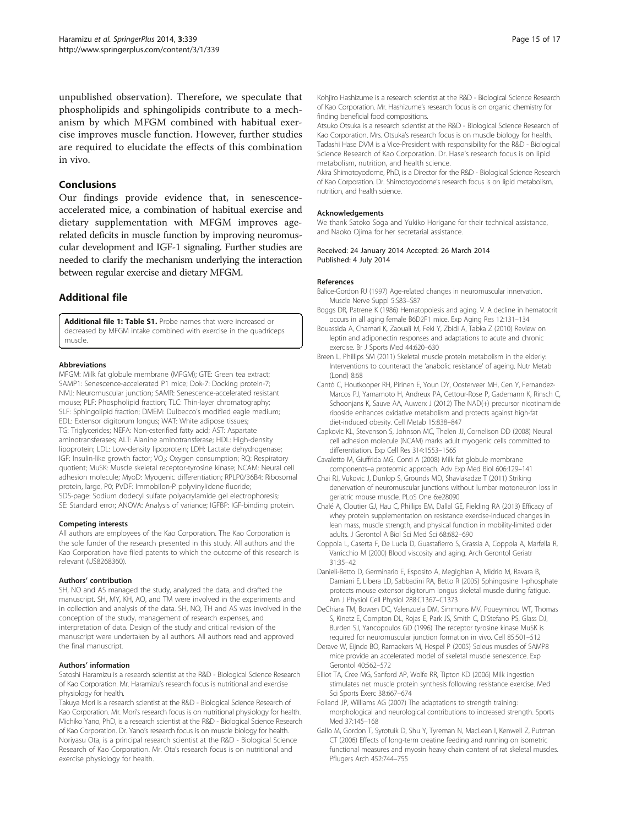<span id="page-14-0"></span>unpublished observation). Therefore, we speculate that phospholipids and sphingolipids contribute to a mechanism by which MFGM combined with habitual exercise improves muscle function. However, further studies are required to elucidate the effects of this combination in vivo.

#### Conclusions

Our findings provide evidence that, in senescenceaccelerated mice, a combination of habitual exercise and dietary supplementation with MFGM improves agerelated deficits in muscle function by improving neuromuscular development and IGF-1 signaling. Further studies are needed to clarify the mechanism underlying the interaction between regular exercise and dietary MFGM.

## Additional file

[Additional file 1: Table S1.](http://www.biomedcentral.com/content/supplementary/2193-1801-3-339-S1.doc) Probe names that were increased or decreased by MFGM intake combined with exercise in the quadriceps muscle.

#### Abbreviations

MFGM: Milk fat globule membrane (MFGM); GTE: Green tea extract; SAMP1: Senescence-accelerated P1 mice; Dok-7: Docking protein-7; NMJ: Neuromuscular junction; SAMR: Senescence-accelerated resistant mouse; PLF: Phospholipid fraction; TLC: Thin-layer chromatography; SLF: Sphingolipid fraction; DMEM: Dulbecco's modified eagle medium; EDL: Extensor digitorum longus; WAT: White adipose tissues; TG: Triglycerides; NEFA: Non-esterified fatty acid; AST: Aspartate aminotransferases; ALT: Alanine aminotransferase; HDL: High-density lipoprotein; LDL: Low-density lipoprotein; LDH: Lactate dehydrogenase; IGF: Insulin-like growth factor; VO<sub>2</sub>: Oxygen consumption; RQ: Respiratory quotient; MuSK: Muscle skeletal receptor-tyrosine kinase; NCAM: Neural cell adhesion molecule; MyoD: Myogenic differentiation; RPLP0/36B4: Ribosomal protein, large, P0; PVDF: Immobilon-P polyvinylidene fluoride; SDS-page: Sodium dodecyl sulfate polyacrylamide gel electrophoresis; SE: Standard error; ANOVA: Analysis of variance; IGFBP: IGF-binding protein.

#### Competing interests

All authors are employees of the Kao Corporation. The Kao Corporation is the sole funder of the research presented in this study. All authors and the Kao Corporation have filed patents to which the outcome of this research is relevant (US8268360).

#### Authors' contribution

SH, NO and AS managed the study, analyzed the data, and drafted the manuscript. SH, MY, KH, AO, and TM were involved in the experiments and in collection and analysis of the data. SH, NO, TH and AS was involved in the conception of the study, management of research expenses, and interpretation of data. Design of the study and critical revision of the manuscript were undertaken by all authors. All authors read and approved the final manuscript.

#### Authors' information

Satoshi Haramizu is a research scientist at the R&D - Biological Science Research of Kao Corporation. Mr. Haramizu's research focus is nutritional and exercise physiology for health.

Takuya Mori is a research scientist at the R&D - Biological Science Research of Kao Corporation. Mr. Mori's research focus is on nutritional physiology for health. Michiko Yano, PhD, is a research scientist at the R&D - Biological Science Research of Kao Corporation. Dr. Yano's research focus is on muscle biology for health. Noriyasu Ota, is a principal research scientist at the R&D - Biological Science Research of Kao Corporation. Mr. Ota's research focus is on nutritional and exercise physiology for health.

Kohjiro Hashizume is a research scientist at the R&D - Biological Science Research of Kao Corporation. Mr. Hashizume's research focus is on organic chemistry for finding beneficial food compositions.

Atsuko Otsuka is a research scientist at the R&D - Biological Science Research of Kao Corporation. Mrs. Otsuka's research focus is on muscle biology for health. Tadashi Hase DVM is a Vice-President with responsibility for the R&D - Biological Science Research of Kao Corporation. Dr. Hase's research focus is on lipid metabolism, nutrition, and health science.

Akira Shimotoyodome, PhD, is a Director for the R&D - Biological Science Research of Kao Corporation. Dr. Shimotoyodome's research focus is on lipid metabolism, nutrition, and health science.

#### Acknowledgements

We thank Satoko Soga and Yukiko Horigane for their technical assistance, and Naoko Ojima for her secretarial assistance.

#### Received: 24 January 2014 Accepted: 26 March 2014 Published: 4 July 2014

#### References

- Balice-Gordon RJ (1997) Age-related changes in neuromuscular innervation. Muscle Nerve Suppl 5:S83–S87
- Boggs DR, Patrene K (1986) Hematopoiesis and aging. V. A decline in hematocrit occurs in all aging female B6D2F1 mice. Exp Aging Res 12:131–134
- Bouassida A, Chamari K, Zaouali M, Feki Y, Zbidi A, Tabka Z (2010) Review on leptin and adiponectin responses and adaptations to acute and chronic exercise. Br J Sports Med 44:620–630
- Breen L, Phillips SM (2011) Skeletal muscle protein metabolism in the elderly: Interventions to counteract the 'anabolic resistance' of ageing. Nutr Metab (Lond) 8:68
- Cantó C, Houtkooper RH, Pirinen E, Youn DY, Oosterveer MH, Cen Y, Fernandez-Marcos PJ, Yamamoto H, Andreux PA, Cettour-Rose P, Gademann K, Rinsch C, Schoonjans K, Sauve AA, Auwerx J (2012) The NAD(+) precursor nicotinamide riboside enhances oxidative metabolism and protects against high-fat diet-induced obesity. Cell Metab 15:838–847
- Capkovic KL, Stevenson S, Johnson MC, Thelen JJ, Cornelison DD (2008) Neural cell adhesion molecule (NCAM) marks adult myogenic cells committed to differentiation. Exp Cell Res 314:1553–1565
- Cavaletto M, Giuffrida MG, Conti A (2008) Milk fat globule membrane components–a proteomic approach. Adv Exp Med Biol 606:129–141
- Chai RJ, Vukovic J, Dunlop S, Grounds MD, Shavlakadze T (2011) Striking denervation of neuromuscular junctions without lumbar motoneuron loss in geriatric mouse muscle. PLoS One 6:e28090
- Chalé A, Cloutier GJ, Hau C, Phillips EM, Dallal GE, Fielding RA (2013) Efficacy of whey protein supplementation on resistance exercise-induced changes in lean mass, muscle strength, and physical function in mobility-limited older adults. J Gerontol A Biol Sci Med Sci 68:682–690
- Coppola L, Caserta F, De Lucia D, Guastafierro S, Grassia A, Coppola A, Marfella R, Varricchio M (2000) Blood viscosity and aging. Arch Gerontol Geriatr 31:35–42
- Danieli-Betto D, Germinario E, Esposito A, Megighian A, Midrio M, Ravara B, Damiani E, Libera LD, Sabbadini RA, Betto R (2005) Sphingosine 1-phosphate protects mouse extensor digitorum longus skeletal muscle during fatigue. Am J Physiol Cell Physiol 288:C1367–C1373
- DeChiara TM, Bowen DC, Valenzuela DM, Simmons MV, Poueymirou WT, Thomas S, Kinetz E, Compton DL, Rojas E, Park JS, Smith C, DiStefano PS, Glass DJ, Burden SJ, Yancopoulos GD (1996) The receptor tyrosine kinase MuSK is required for neuromuscular junction formation in vivo. Cell 85:501–512
- Derave W, Eijnde BO, Ramaekers M, Hespel P (2005) Soleus muscles of SAMP8 mice provide an accelerated model of skeletal muscle senescence. Exp Gerontol 40:562–572
- Elliot TA, Cree MG, Sanford AP, Wolfe RR, Tipton KD (2006) Milk ingestion stimulates net muscle protein synthesis following resistance exercise. Med Sci Sports Exerc 38:667–674
- Folland JP, Williams AG (2007) The adaptations to strength training: morphological and neurological contributions to increased strength. Sports Med 37:145–168
- Gallo M, Gordon T, Syrotuik D, Shu Y, Tyreman N, MacLean I, Kenwell Z, Putman CT (2006) Effects of long-term creatine feeding and running on isometric functional measures and myosin heavy chain content of rat skeletal muscles. Pflugers Arch 452:744–755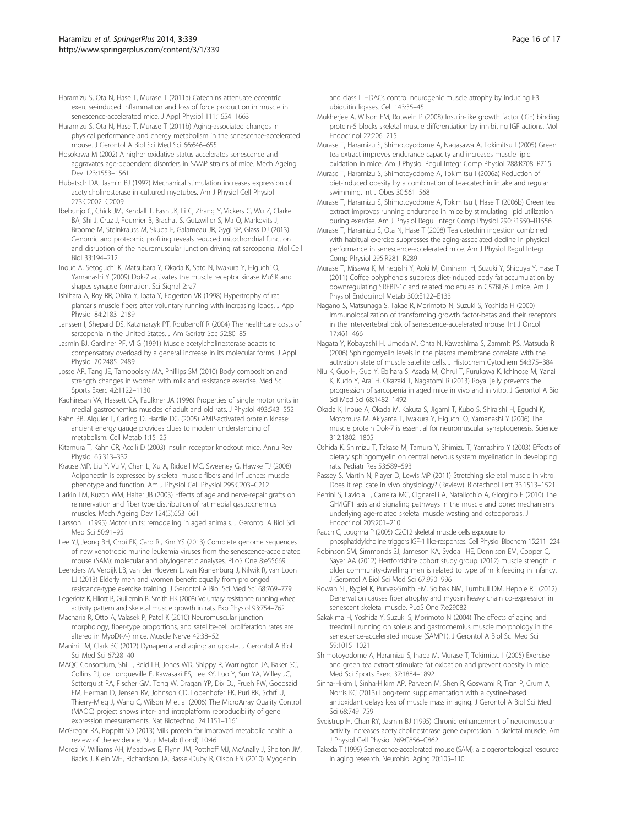<span id="page-15-0"></span>Haramizu S, Ota N, Hase T, Murase T (2011a) Catechins attenuate eccentric exercise-induced inflammation and loss of force production in muscle in senescence-accelerated mice. J Appl Physiol 111:1654–1663

Haramizu S, Ota N, Hase T, Murase T (2011b) Aging-associated changes in physical performance and energy metabolism in the senescence-accelerated mouse. J Gerontol A Biol Sci Med Sci 66:646–655

Hosokawa M (2002) A higher oxidative status accelerates senescence and aggravates age-dependent disorders in SAMP strains of mice. Mech Ageing Dev 123:1553–1561

Hubatsch DA, Jasmin BJ (1997) Mechanical stimulation increases expression of acetylcholinesterase in cultured myotubes. Am J Physiol Cell Physiol 273:C2002–C2009

Ibebunjo C, Chick JM, Kendall T, Eash JK, Li C, Zhang Y, Vickers C, Wu Z, Clarke BA, Shi J, Cruz J, Fournier B, Brachat S, Gutzwiller S, Ma Q, Markovits J, Broome M, Steinkrauss M, Skuba E, Galarneau JR, Gygi SP, Glass DJ (2013) Genomic and proteomic profiling reveals reduced mitochondrial function and disruption of the neuromuscular junction driving rat sarcopenia. Mol Cell Biol 33:194–212

Inoue A, Setoguchi K, Matsubara Y, Okada K, Sato N, Iwakura Y, Higuchi O, Yamanashi Y (2009) Dok-7 activates the muscle receptor kinase MuSK and shapes synapse formation. Sci Signal 2:ra7

Ishihara A, Roy RR, Ohira Y, Ibata Y, Edgerton VR (1998) Hypertrophy of rat plantaris muscle fibers after voluntary running with increasing loads. J Appl Physiol 84:2183–2189

Janssen I, Shepard DS, Katzmarzyk PT, Roubenoff R (2004) The healthcare costs of sarcopenia in the United States. J Am Geriatr Soc 52:80–85

Jasmin BJ, Gardiner PF, Vl G (1991) Muscle acetylcholinesterase adapts to compensatory overload by a general increase in its molecular forms. J Appl Physiol 70:2485–2489

Josse AR, Tang JE, Tarnopolsky MA, Phillips SM (2010) Body composition and strength changes in women with milk and resistance exercise. Med Sci Sports Exerc 42:1122–1130

Kadhiresan VA, Hassett CA, Faulkner JA (1996) Properties of single motor units in medial gastrocnemius muscles of adult and old rats. J Physiol 493:543–552

Kahn BB, Alquier T, Carling D, Hardie DG (2005) AMP-activated protein kinase: ancient energy gauge provides clues to modern understanding of metabolism. Cell Metab 1:15–25

Kitamura T, Kahn CR, Accili D (2003) Insulin receptor knockout mice. Annu Rev Physiol 65:313–332

Krause MP, Liu Y, Vu V, Chan L, Xu A, Riddell MC, Sweeney G, Hawke TJ (2008) Adiponectin is expressed by skeletal muscle fibers and influences muscle phenotype and function. Am J Physiol Cell Physiol 295:C203–C212

Larkin LM, Kuzon WM, Halter JB (2003) Effects of age and nerve-repair grafts on reinnervation and fiber type distribution of rat medial gastrocnemius muscles. Mech Ageing Dev 124(5):653–661

Larsson L (1995) Motor units: remodeling in aged animals. J Gerontol A Biol Sci Med Sci 50:91–95

Lee YJ, Jeong BH, Choi EK, Carp RI, Kim YS (2013) Complete genome sequences of new xenotropic murine leukemia viruses from the senescence-accelerated mouse (SAM): molecular and phylogenetic analyses. PLoS One 8:e55669

Leenders M, Verdijk LB, van der Hoeven L, van Kranenburg J, Nilwik R, van Loon LJ (2013) Elderly men and women benefit equally from prolonged resistance-type exercise training. J Gerontol A Biol Sci Med Sci 68:769–779

Legerlotz K, Elliott B, Guillemin B, Smith HK (2008) Voluntary resistance running wheel activity pattern and skeletal muscle growth in rats. Exp Physiol 93:754–762

Macharia R, Otto A, Valasek P, Patel K (2010) Neuromuscular junction morphology, fiber-type proportions, and satellite-cell proliferation rates are altered in MyoD(-/-) mice. Muscle Nerve 42:38–52

Manini TM, Clark BC (2012) Dynapenia and aging: an update. J Gerontol A Biol Sci Med Sci 67:28–40

MAQC Consortium, Shi L, Reid LH, Jones WD, Shippy R, Warrington JA, Baker SC, Collins PJ, de Longueville F, Kawasaki ES, Lee KY, Luo Y, Sun YA, Willey JC, Setterquist RA, Fischer GM, Tong W, Dragan YP, Dix DJ, Frueh FW, Goodsaid FM, Herman D, Jensen RV, Johnson CD, Lobenhofer EK, Puri RK, Schrf U, Thierry-Mieg J, Wang C, Wilson M et al (2006) The MicroArray Quality Control (MAQC) project shows inter- and intraplatform reproducibility of gene expression measurements. Nat Biotechnol 24:1151–1161

McGregor RA, Poppitt SD (2013) Milk protein for improved metabolic health: a review of the evidence. Nutr Metab (Lond) 10:46

Moresi V, Williams AH, Meadows E, Flynn JM, Potthoff MJ, McAnally J, Shelton JM, Backs J, Klein WH, Richardson JA, Bassel-Duby R, Olson EN (2010) Myogenin

and class II HDACs control neurogenic muscle atrophy by inducing E3 ubiquitin ligases. Cell 143:35–45

Mukherjee A, Wilson EM, Rotwein P (2008) Insulin-like growth factor (IGF) binding protein-5 blocks skeletal muscle differentiation by inhibiting IGF actions. Mol Endocrinol 22:206–215

Murase T, Haramizu S, Shimotoyodome A, Nagasawa A, Tokimitsu I (2005) Green tea extract improves endurance capacity and increases muscle lipid oxidation in mice. Am J Physiol Regul Integr Comp Physiol 288:R708–R715

Murase T, Haramizu S, Shimotoyodome A, Tokimitsu I (2006a) Reduction of diet-induced obesity by a combination of tea-catechin intake and regular swimming. Int J Obes 30:561–568

Murase T, Haramizu S, Shimotoyodome A, Tokimitsu I, Hase T (2006b) Green tea extract improves running endurance in mice by stimulating lipid utilization during exercise. Am J Physiol Regul Integr Comp Physiol 290:R1550–R1556

Murase T, Haramizu S, Ota N, Hase T (2008) Tea catechin ingestion combined with habitual exercise suppresses the aging-associated decline in physical performance in senescence-accelerated mice. Am J Physiol Regul Integr Comp Physiol 295:R281–R289

Murase T, Misawa K, Minegishi Y, Aoki M, Ominami H, Suzuki Y, Shibuya Y, Hase T (2011) Coffee polyphenols suppress diet-induced body fat accumulation by downregulating SREBP-1c and related molecules in C57BL/6 J mice. Am J Physiol Endocrinol Metab 300:E122–E133

Nagano S, Matsunaga S, Takae R, Morimoto N, Suzuki S, Yoshida H (2000) Immunolocalization of transforming growth factor-betas and their receptors in the intervertebral disk of senescence-accelerated mouse. Int J Oncol 17:461–466

Nagata Y, Kobayashi H, Umeda M, Ohta N, Kawashima S, Zammit PS, Matsuda R (2006) Sphingomyelin levels in the plasma membrane correlate with the activation state of muscle satellite cells. J Histochem Cytochem 54:375–384

Niu K, Guo H, Guo Y, Ebihara S, Asada M, Ohrui T, Furukawa K, Ichinose M, Yanai K, Kudo Y, Arai H, Okazaki T, Nagatomi R (2013) Royal jelly prevents the progression of sarcopenia in aged mice in vivo and in vitro. J Gerontol A Biol Sci Med Sci 68:1482–1492

Okada K, Inoue A, Okada M, Kakuta S, Jigami T, Kubo S, Shiraishi H, Eguchi K, Motomura M, Akiyama T, Iwakura Y, Higuchi O, Yamanashi Y (2006) The muscle protein Dok-7 is essential for neuromuscular synaptogenesis. Science 312:1802–1805

Oshida K, Shimizu T, Takase M, Tamura Y, Shimizu T, Yamashiro Y (2003) Effects of dietary sphingomyelin on central nervous system myelination in developing rats. Pediatr Res 53:589–593

Passey S, Martin N, Player D, Lewis MP (2011) Stretching skeletal muscle in vitro: Does it replicate in vivo physiology? (Review). Biotechnol Lett 33:1513–1521

Perrini S, Laviola L, Carreira MC, Cignarelli A, Natalicchio A, Giorgino F (2010) The GH/IGF1 axis and signaling pathways in the muscle and bone: mechanisms underlying age-related skeletal muscle wasting and osteoporosis. J Endocrinol 205:201–210

Rauch C, Loughna P (2005) C2C12 skeletal muscle cells exposure to

phosphatidylcholine triggers IGF-1 like-responses. Cell Physiol Biochem 15:211–224 Robinson SM, Simmonds SJ, Jameson KA, Syddall HE, Dennison EM, Cooper C, Sayer AA (2012) Hertfordshire cohort study group. (2012) muscle strength in older community-dwelling men is related to type of milk feeding in infancy. J Gerontol A Biol Sci Med Sci 67:990–996

Rowan SL, Rygiel K, Purves-Smith FM, Solbak NM, Turnbull DM, Hepple RT (2012) Denervation causes fiber atrophy and myosin heavy chain co-expression in senescent skeletal muscle. PLoS One 7:e29082

Sakakima H, Yoshida Y, Suzuki S, Morimoto N (2004) The effects of aging and treadmill running on soleus and gastrocnemius muscle morphology in the senescence-accelerated mouse (SAMP1). J Gerontol A Biol Sci Med Sci 59:1015–1021

Shimotoyodome A, Haramizu S, Inaba M, Murase T, Tokimitsu I (2005) Exercise and green tea extract stimulate fat oxidation and prevent obesity in mice. Med Sci Sports Exerc 37:1884–1892

Sinha-Hikim I, Sinha-Hikim AP, Parveen M, Shen R, Goswami R, Tran P, Crum A, Norris KC (2013) Long-term supplementation with a cystine-based antioxidant delays loss of muscle mass in aging. J Gerontol A Biol Sci Med Sci 68:749–759

Sveistrup H, Chan RY, Jasmin BJ (1995) Chronic enhancement of neuromuscular activity increases acetylcholinesterase gene expression in skeletal muscle. Am J Physiol Cell Physiol 269:C856–C862

Takeda T (1999) Senescence-accelerated mouse (SAM): a biogerontological resource in aging research. Neurobiol Aging 20:105–110